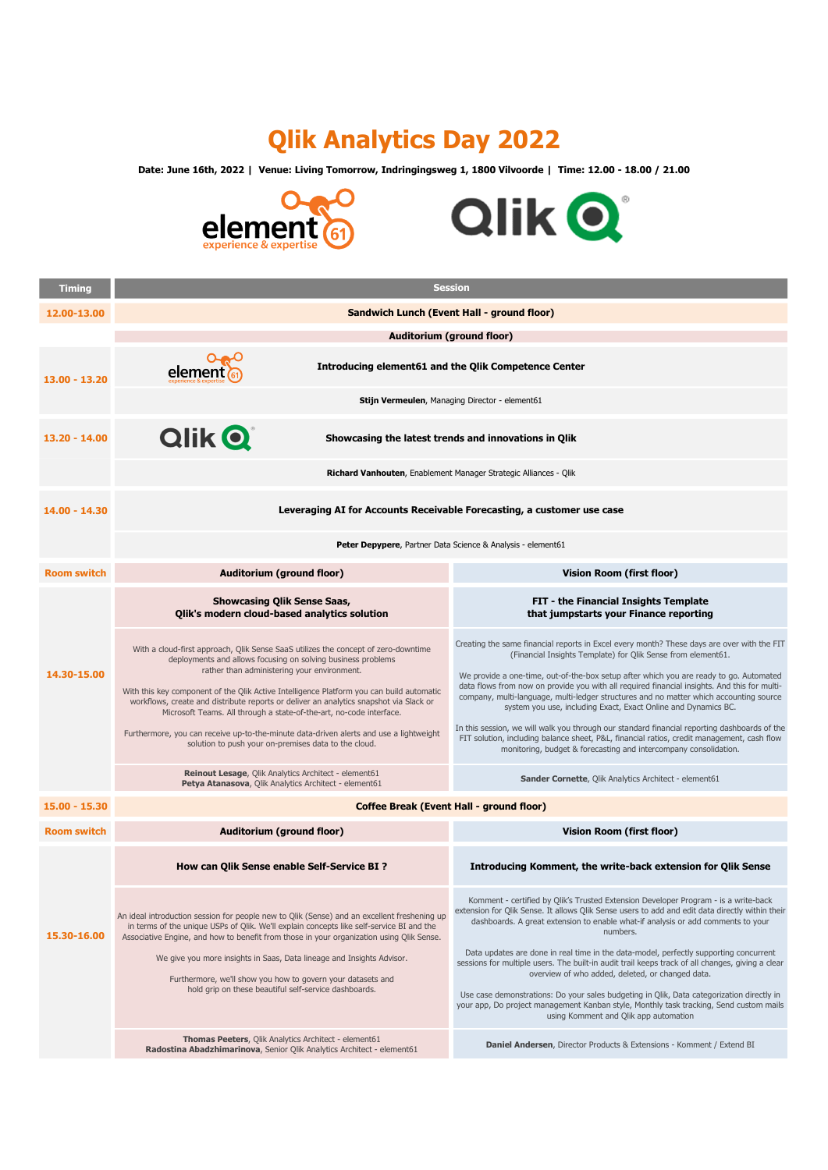## Qlik Analytics Day 2022

Date: June 16th, 2022 | Venue: Living Tomorrow, Indringingsweg 1, 1800 Vilvoorde | Time: 12.00 - 18.00 / 21.00





| Timing             | <b>Session</b>                                                                                                                                                                                                                                                                                                                                                                                                                                                                                                                                                                                                   |                                                                                                                                                                                                                                                                                                                                                                                                                                                                                                                                                                                                                                                                                                                                                                                    |  |
|--------------------|------------------------------------------------------------------------------------------------------------------------------------------------------------------------------------------------------------------------------------------------------------------------------------------------------------------------------------------------------------------------------------------------------------------------------------------------------------------------------------------------------------------------------------------------------------------------------------------------------------------|------------------------------------------------------------------------------------------------------------------------------------------------------------------------------------------------------------------------------------------------------------------------------------------------------------------------------------------------------------------------------------------------------------------------------------------------------------------------------------------------------------------------------------------------------------------------------------------------------------------------------------------------------------------------------------------------------------------------------------------------------------------------------------|--|
| 12.00-13.00        |                                                                                                                                                                                                                                                                                                                                                                                                                                                                                                                                                                                                                  | Sandwich Lunch (Event Hall - ground floor)                                                                                                                                                                                                                                                                                                                                                                                                                                                                                                                                                                                                                                                                                                                                         |  |
|                    | <b>Auditorium (ground floor)</b>                                                                                                                                                                                                                                                                                                                                                                                                                                                                                                                                                                                 |                                                                                                                                                                                                                                                                                                                                                                                                                                                                                                                                                                                                                                                                                                                                                                                    |  |
| $13.00 - 13.20$    | element                                                                                                                                                                                                                                                                                                                                                                                                                                                                                                                                                                                                          | <b>Introducing element61 and the Qlik Competence Center</b>                                                                                                                                                                                                                                                                                                                                                                                                                                                                                                                                                                                                                                                                                                                        |  |
|                    |                                                                                                                                                                                                                                                                                                                                                                                                                                                                                                                                                                                                                  | Stijn Vermeulen, Managing Director - element61                                                                                                                                                                                                                                                                                                                                                                                                                                                                                                                                                                                                                                                                                                                                     |  |
| $13.20 - 14.00$    | <b>Qlik Q</b>                                                                                                                                                                                                                                                                                                                                                                                                                                                                                                                                                                                                    | Showcasing the latest trends and innovations in Olik                                                                                                                                                                                                                                                                                                                                                                                                                                                                                                                                                                                                                                                                                                                               |  |
|                    |                                                                                                                                                                                                                                                                                                                                                                                                                                                                                                                                                                                                                  | Richard Vanhouten, Enablement Manager Strategic Alliances - Qlik                                                                                                                                                                                                                                                                                                                                                                                                                                                                                                                                                                                                                                                                                                                   |  |
| $14.00 - 14.30$    | Leveraging AI for Accounts Receivable Forecasting, a customer use case                                                                                                                                                                                                                                                                                                                                                                                                                                                                                                                                           |                                                                                                                                                                                                                                                                                                                                                                                                                                                                                                                                                                                                                                                                                                                                                                                    |  |
|                    | Peter Depypere, Partner Data Science & Analysis - element61                                                                                                                                                                                                                                                                                                                                                                                                                                                                                                                                                      |                                                                                                                                                                                                                                                                                                                                                                                                                                                                                                                                                                                                                                                                                                                                                                                    |  |
| <b>Room switch</b> | Auditorium (ground floor)                                                                                                                                                                                                                                                                                                                                                                                                                                                                                                                                                                                        | Vision Room (first floor)                                                                                                                                                                                                                                                                                                                                                                                                                                                                                                                                                                                                                                                                                                                                                          |  |
|                    | <b>Showcasing Qlik Sense Saas,</b><br><b>Qlik's modern cloud-based analytics solution</b>                                                                                                                                                                                                                                                                                                                                                                                                                                                                                                                        | FIT - the Financial Insights Template<br>that jumpstarts your Finance reporting                                                                                                                                                                                                                                                                                                                                                                                                                                                                                                                                                                                                                                                                                                    |  |
| 14.30-15.00        | With a cloud-first approach, Qlik Sense SaaS utilizes the concept of zero-downtime<br>deployments and allows focusing on solving business problems<br>rather than administering your environment.<br>With this key component of the Qlik Active Intelligence Platform you can build automatic<br>workflows, create and distribute reports or deliver an analytics snapshot via Slack or<br>Microsoft Teams. All through a state-of-the-art, no-code interface.<br>Furthermore, you can receive up-to-the-minute data-driven alerts and use a lightweight<br>solution to push your on-premises data to the cloud. | Creating the same financial reports in Excel every month? These days are over with the FIT<br>(Financial Insights Template) for Qlik Sense from element61.<br>We provide a one-time, out-of-the-box setup after which you are ready to go. Automated<br>data flows from now on provide you with all required financial insights. And this for multi-<br>company, multi-language, multi-ledger structures and no matter which accounting source<br>system you use, including Exact, Exact Online and Dynamics BC.<br>In this session, we will walk you through our standard financial reporting dashboards of the<br>FIT solution, including balance sheet, P&L, financial ratios, credit management, cash flow<br>monitoring, budget & forecasting and intercompany consolidation. |  |
|                    | Reinout Lesage, Qlik Analytics Architect - element61<br>Petya Atanasova, Qlik Analytics Architect - element61                                                                                                                                                                                                                                                                                                                                                                                                                                                                                                    | <b>Sander Cornette, Qlik Analytics Architect - element61</b>                                                                                                                                                                                                                                                                                                                                                                                                                                                                                                                                                                                                                                                                                                                       |  |
| 15.00 - 15.30      |                                                                                                                                                                                                                                                                                                                                                                                                                                                                                                                                                                                                                  | <b>Coffee Break (Event Hall - ground floor)</b>                                                                                                                                                                                                                                                                                                                                                                                                                                                                                                                                                                                                                                                                                                                                    |  |
| <b>Room switch</b> | Auditorium (ground floor)                                                                                                                                                                                                                                                                                                                                                                                                                                                                                                                                                                                        | Vision Room (first floor)                                                                                                                                                                                                                                                                                                                                                                                                                                                                                                                                                                                                                                                                                                                                                          |  |
|                    | How can Qlik Sense enable Self-Service BI?                                                                                                                                                                                                                                                                                                                                                                                                                                                                                                                                                                       | Introducing Komment, the write-back extension for Qlik Sense                                                                                                                                                                                                                                                                                                                                                                                                                                                                                                                                                                                                                                                                                                                       |  |
| 15.30-16.00        | An ideal introduction session for people new to Qlik (Sense) and an excellent freshening up<br>in terms of the unique USPs of Qlik. We'll explain concepts like self-service BI and the<br>Associative Engine, and how to benefit from those in your organization using Qlik Sense.<br>We give you more insights in Saas, Data lineage and Insights Advisor.<br>Furthermore, we'll show you how to govern your datasets and<br>hold grip on these beautiful self-service dashboards.                                                                                                                             | Komment - certified by Qlik's Trusted Extension Developer Program - is a write-back<br>extension for Qlik Sense. It allows Qlik Sense users to add and edit data directly within their<br>dashboards. A great extension to enable what-if analysis or add comments to your<br>numbers.<br>Data updates are done in real time in the data-model, perfectly supporting concurrent<br>sessions for multiple users. The built-in audit trail keeps track of all changes, giving a clear<br>overview of who added, deleted, or changed data.<br>Use case demonstrations: Do your sales budgeting in Qlik, Data categorization directly in<br>your app, Do project management Kanban style, Monthly task tracking, Send custom mails                                                     |  |
|                    | Thomas Peeters, Qlik Analytics Architect - element61<br>Radostina Abadzhimarinova, Senior Qlik Analytics Architect - element61                                                                                                                                                                                                                                                                                                                                                                                                                                                                                   | using Komment and Qlik app automation<br>Daniel Andersen, Director Products & Extensions - Komment / Extend BI                                                                                                                                                                                                                                                                                                                                                                                                                                                                                                                                                                                                                                                                     |  |